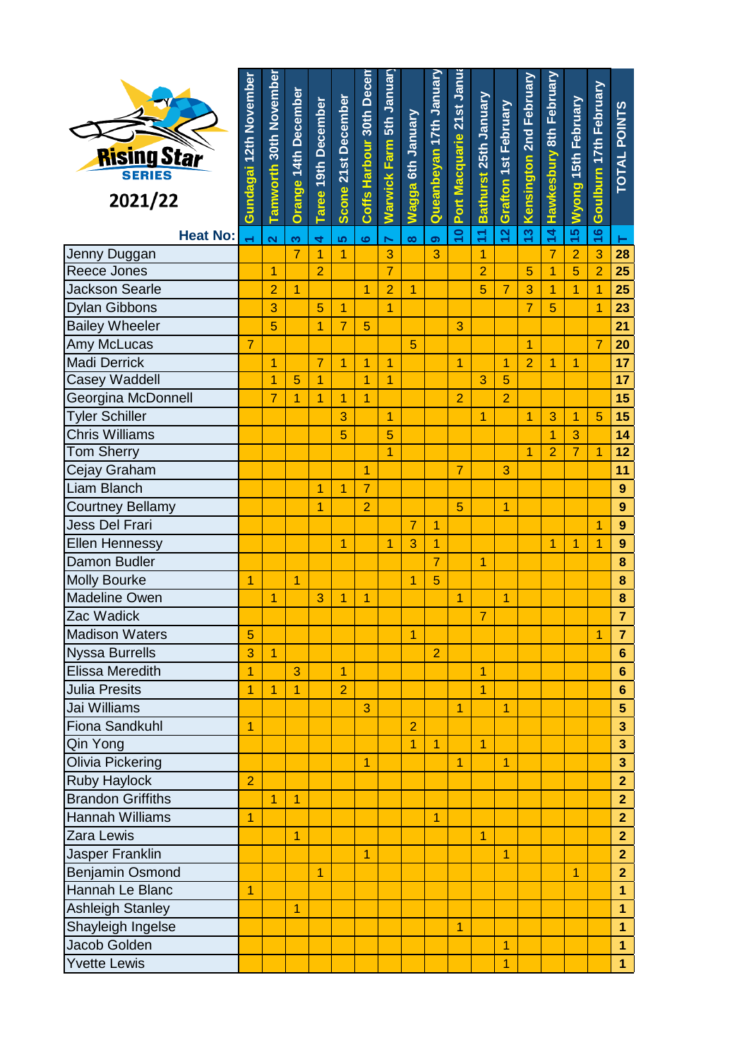| <b>Rising Star</b><br>2021/22 | Gundagai 12th November | Tamworth 30th November  | <b>Orange 14th December</b> | <b>Taree 19th December</b> | Scone 21st December | Coffs Harbour 30th Decer | Warwick Farm 5th Januar | Wagga 6th January | Queanbeyan 17th January | Port Macquarie 21st Janu | Bathurst 25th January | <b>Grafton 1st February</b> | Kensington 2nd February | Hawkesbury 8th February | Wyong 15th February | Goulburn 17th February | TOTAL POINTS            |
|-------------------------------|------------------------|-------------------------|-----------------------------|----------------------------|---------------------|--------------------------|-------------------------|-------------------|-------------------------|--------------------------|-----------------------|-----------------------------|-------------------------|-------------------------|---------------------|------------------------|-------------------------|
| <b>Heat No:</b>               |                        | $\overline{\mathbf{N}}$ | က                           | $\overline{\mathbf{r}}$    | မာ                  | $\bullet$                | $\blacksquare$          | $\infty$          | ၜ                       | 10 <sub>1</sub>          | H                     | 12                          | 13                      | 14                      | 15                  | 16                     | н                       |
| Jenny Duggan                  |                        |                         | $\overline{7}$              | 1                          | 1                   |                          | 3                       |                   | 3                       |                          | 1                     |                             |                         | $\overline{7}$          | $\overline{2}$      | 3                      | 28                      |
| Reece Jones                   |                        | 1                       |                             | $\overline{2}$             |                     |                          | $\overline{7}$          |                   |                         |                          | $\overline{2}$        |                             | 5                       | $\overline{1}$          | 5                   | $\overline{2}$         | 25                      |
| <b>Jackson Searle</b>         |                        | $\overline{2}$          | 1                           |                            |                     | 1                        | $\overline{2}$          | $\overline{1}$    |                         |                          | 5                     | $\overline{7}$              | 3                       | 1                       | $\overline{1}$      | $\overline{1}$         | 25                      |
| Dylan Gibbons                 |                        | 3                       |                             | 5                          | 1                   |                          | 1                       |                   |                         |                          |                       |                             | $\overline{7}$          | 5                       |                     | $\overline{1}$         | 23                      |
| <b>Bailey Wheeler</b>         |                        | 5                       |                             | 1                          | $\overline{7}$      | 5                        |                         |                   |                         | 3                        |                       |                             |                         |                         |                     |                        | 21                      |
| Amy McLucas                   | 7                      |                         |                             |                            |                     |                          |                         | 5                 |                         |                          |                       |                             | 1                       |                         |                     | 7                      | 20                      |
| <b>Madi Derrick</b>           |                        | 1                       |                             | $\overline{7}$             | $\overline{1}$      | 1                        | 1                       |                   |                         | $\overline{1}$           |                       | 1                           | $\overline{2}$          | 1                       | $\overline{1}$      |                        | 17                      |
| <b>Casey Waddell</b>          |                        | 1                       | 5                           | 1                          |                     | 1                        | $\overline{1}$          |                   |                         |                          | 3                     | 5                           |                         |                         |                     |                        | 17                      |
| Georgina McDonnell            |                        | $\overline{7}$          | 1                           | 1                          | 1                   | 1                        |                         |                   |                         | $\overline{2}$           |                       | $\overline{2}$              |                         |                         |                     |                        | 15                      |
| <b>Tyler Schiller</b>         |                        |                         |                             |                            | 3                   |                          | $\overline{1}$          |                   |                         |                          | 1                     |                             | 1                       | 3                       | 1                   | 5                      | 15                      |
| <b>Chris Williams</b>         |                        |                         |                             |                            | 5                   |                          | 5                       |                   |                         |                          |                       |                             |                         | 1                       | 3                   |                        | 14                      |
| <b>Tom Sherry</b>             |                        |                         |                             |                            |                     |                          | $\overline{1}$          |                   |                         |                          |                       |                             | 1                       | $\overline{2}$          | $\overline{7}$      | $\overline{1}$         | 12                      |
| Cejay Graham                  |                        |                         |                             |                            |                     | $\overline{1}$           |                         |                   |                         | $\overline{7}$           |                       | 3                           |                         |                         |                     |                        | 11                      |
| <b>Liam Blanch</b>            |                        |                         |                             | 1                          | 1                   | $\overline{7}$           |                         |                   |                         |                          |                       |                             |                         |                         |                     |                        | 9                       |
| <b>Courtney Bellamy</b>       |                        |                         |                             | 1                          |                     | $\overline{2}$           |                         |                   |                         | 5                        |                       | $\overline{1}$              |                         |                         |                     |                        | 9                       |
| Jess Del Frari                |                        |                         |                             |                            |                     |                          |                         | $\overline{7}$    | 1                       |                          |                       |                             |                         |                         |                     | 1                      | 9                       |
| <b>Ellen Hennessy</b>         |                        |                         |                             |                            | 1                   |                          | 1                       | 3                 | 1                       |                          |                       |                             |                         | 1                       | 1                   | $\overline{1}$         | 9                       |
| Damon Budler                  |                        |                         |                             |                            |                     |                          |                         |                   | $\overline{7}$          |                          | 1                     |                             |                         |                         |                     |                        | 8                       |
| <b>Molly Bourke</b>           | 1                      |                         | 1                           |                            |                     |                          |                         | 1                 | 5                       |                          |                       |                             |                         |                         |                     |                        | 8                       |
| Madeline Owen                 |                        | 1                       |                             | 3                          | 1                   | 1                        |                         |                   |                         | 1                        |                       | 1                           |                         |                         |                     |                        | 8                       |
| Zac Wadick                    |                        |                         |                             |                            |                     |                          |                         |                   |                         |                          |                       |                             |                         |                         |                     |                        | 7                       |
| <b>Madison Waters</b>         | 5                      |                         |                             |                            |                     |                          |                         | $\overline{1}$    |                         |                          |                       |                             |                         |                         |                     | $\overline{1}$         | $\overline{7}$          |
| <b>Nyssa Burrells</b>         | 3                      | $\overline{1}$          |                             |                            |                     |                          |                         |                   | $\overline{2}$          |                          |                       |                             |                         |                         |                     |                        | $6\phantom{a}$          |
| <b>Elissa Meredith</b>        | 1                      |                         | 3                           |                            | 1                   |                          |                         |                   |                         |                          | 1                     |                             |                         |                         |                     |                        | $6\phantom{a}$          |
| <b>Julia Presits</b>          | $\overline{1}$         | 1                       | 1                           |                            | $\overline{2}$      |                          |                         |                   |                         |                          | $\overline{1}$        |                             |                         |                         |                     |                        | $6\phantom{a}$          |
| Jai Williams                  |                        |                         |                             |                            |                     | 3                        |                         |                   |                         | 1                        |                       | $\overline{1}$              |                         |                         |                     |                        | $\overline{\mathbf{5}}$ |
| <b>Fiona Sandkuhl</b>         | 1                      |                         |                             |                            |                     |                          |                         | $\overline{2}$    |                         |                          |                       |                             |                         |                         |                     |                        | 3                       |
| Qin Yong                      |                        |                         |                             |                            |                     |                          |                         | 1                 | 1                       |                          | 1                     |                             |                         |                         |                     |                        | 3                       |
| Olivia Pickering              |                        |                         |                             |                            |                     | 1                        |                         |                   |                         | $\overline{1}$           |                       | $\overline{1}$              |                         |                         |                     |                        | $\overline{\mathbf{3}}$ |
| <b>Ruby Haylock</b>           | $\overline{2}$         |                         |                             |                            |                     |                          |                         |                   |                         |                          |                       |                             |                         |                         |                     |                        | $\overline{2}$          |
| <b>Brandon Griffiths</b>      |                        | 1                       | 1                           |                            |                     |                          |                         |                   |                         |                          |                       |                             |                         |                         |                     |                        | $\overline{2}$          |
| <b>Hannah Williams</b>        | $\overline{1}$         |                         |                             |                            |                     |                          |                         |                   | $\overline{1}$          |                          |                       |                             |                         |                         |                     |                        | $\overline{2}$          |
| Zara Lewis                    |                        |                         | 1                           |                            |                     |                          |                         |                   |                         |                          | 1                     |                             |                         |                         |                     |                        | $\overline{2}$          |
| Jasper Franklin               |                        |                         |                             |                            |                     | 1                        |                         |                   |                         |                          |                       | $\overline{1}$              |                         |                         |                     |                        | $\overline{2}$          |
| Benjamin Osmond               |                        |                         |                             | 1                          |                     |                          |                         |                   |                         |                          |                       |                             |                         |                         | $\overline{1}$      |                        | $\overline{2}$          |
| Hannah Le Blanc               | 1                      |                         |                             |                            |                     |                          |                         |                   |                         |                          |                       |                             |                         |                         |                     |                        | $\overline{1}$          |
| <b>Ashleigh Stanley</b>       |                        |                         | 1                           |                            |                     |                          |                         |                   |                         |                          |                       |                             |                         |                         |                     |                        | $\overline{1}$          |
| Shayleigh Ingelse             |                        |                         |                             |                            |                     |                          |                         |                   |                         | $\overline{1}$           |                       |                             |                         |                         |                     |                        | $\overline{1}$          |
| Jacob Golden                  |                        |                         |                             |                            |                     |                          |                         |                   |                         |                          |                       | 1                           |                         |                         |                     |                        | $\overline{1}$          |
| <b>Yvette Lewis</b>           |                        |                         |                             |                            |                     |                          |                         |                   |                         |                          |                       | 1                           |                         |                         |                     |                        | $\mathbf{1}$            |